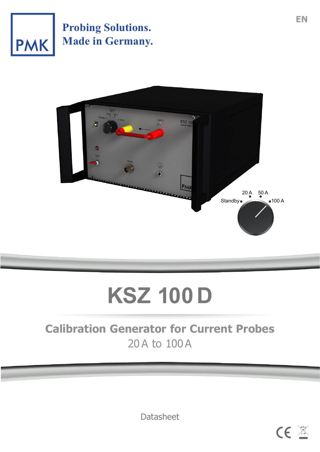

**Probing Solutions. Made in Germany.**



# **KSZ 100 D**

# **Calibration Generator for Current Probes** 20A to 100A

**Datasheet** 

**CE 图**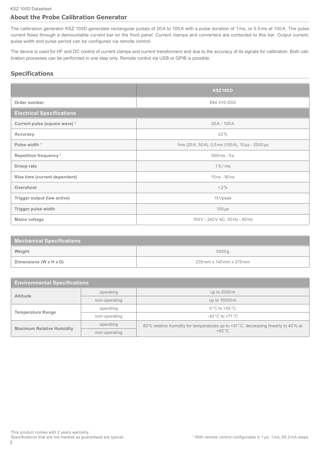#### **About the Probe Calibration Generator**

The calibration generator KSZ 100D generates rectangular pulses of 20A to 100A with a pulse duration of 1 ms, or 0.5 ms at 100A. The pulse current flows through a demountable current bar on the front panel. Current clamps and converters are contacted to this bar. Output current, pulse width and pulse period can be configured via remote control.

The device is used for HF and DC control of current clamps and current transformers and due to the accuracy of its signals for calibration. Both calibration processes can be performed in one step only. Remote control via USB or GPIB is possible.

#### **Specifications**

|                                          | <b>KSZ100D</b>                                |  |  |
|------------------------------------------|-----------------------------------------------|--|--|
| Order number                             | 894-010-D00                                   |  |  |
| <b>Electrical Specifications</b>         |                                               |  |  |
| Current pulse (square wave) <sup>1</sup> | $20A - 100A$                                  |  |  |
| Accuracy                                 | $±2\%$                                        |  |  |
| Pulse width <sup>1</sup>                 | 1ms (20A, 50A), 0,5ms (100A), 10 µs - 2000 µs |  |  |
| Repetition frequency <sup>1</sup>        | $500ms - 5s$                                  |  |  |
| Droop rate                               | $1\%$ / ms                                    |  |  |
| Rise time (current dependent)            | $15ns - 80ns$                                 |  |  |
| Overshoot                                | $< 2\%$                                       |  |  |
| Trigger output (low active)              | 15 Vpeak                                      |  |  |
| Trigger pulse width                      | $100 \,\mu s$                                 |  |  |
| <b>Mains voltage</b>                     | 100 V - 240 V AC, 50 Hz - 60 Hz               |  |  |

| <b>Mechanical Specifications</b>     |                          |  |  |
|--------------------------------------|--------------------------|--|--|
| Weight                               | 5500g                    |  |  |
| Dimensions (W $\times$ H $\times$ D) | 235 mm x 140 mm x 375 mm |  |  |

| <b>Environmental Specifications</b> |               |                                                                                                       |  |  |
|-------------------------------------|---------------|-------------------------------------------------------------------------------------------------------|--|--|
| <b>Altitude</b>                     | operating     | up to $2000\,\mathrm{m}$                                                                              |  |  |
|                                     | non-operating | up to 15000 m                                                                                         |  |  |
| <b>Temperature Range</b>            | operating     | $0^{\circ}$ C to +55 $^{\circ}$ C                                                                     |  |  |
|                                     | non-operating | $-40\degree$ C to $+71\degree$ C                                                                      |  |  |
| <b>Maximum Relative Humidity</b>    | operating     | 80% relative humidity for temperatures up to +31 °C, decreasing linearly to 40% at<br>$+50^{\circ}$ C |  |  |
|                                     | non-operating |                                                                                                       |  |  |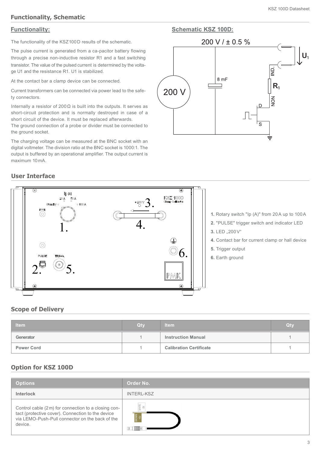#### **Functionality, Schematic**

#### **Functionality: Schematic KSZ 100D:**

The functionality of the KSZ100D results of the schematic.

The pulse current is generated from a ca-pacitor battery flowing through a precise non-inductive resistor R1 and a fast switching transistor. The value of the pulsed current is determined by the voltage U1 and the resistance R1. U1 is stabilized.

At the contact bar a clamp device can be connected.

Current transformers can be connected via power lead to the safety connectors.

Internally a resistor of 200 $\Omega$  is built into the outputs. It serves as short-circuit protection and is normally destroyed in case of a short circuit of the device. It must be replaced afterwards.

The ground connection of a probe or divider must be connected to the ground socket.

The charging voltage can be measured at the BNC socket with an digital voltmeter. The division ratio at the BNC socket is 1000:1. The output is buffered by an operational amplifier. The output current is maximum 10mA.



#### **User Interface**



- **1.** Rotary switch "Ip (A)" from 20A up to 100A
- **2.** "PULSE" trigger switch and indicator LED
- **3.** LED  $, 200V$ "
- **4.** Contact bar for current clamp or hall device
- **5.** Trigger output
- **6.** Earth ground

#### **Scope of Delivery**

| Item              | Qtv | <b>Item</b>                    | Qty |
|-------------------|-----|--------------------------------|-----|
| Generator         |     | <b>Instruction Manual</b>      |     |
| <b>Power Cord</b> |     | <b>Calibration Certificate</b> |     |

#### **Option for KSZ 100D**

| <b>Options</b>                                                                                                                                                          | <b>Order No.</b>  |
|-------------------------------------------------------------------------------------------------------------------------------------------------------------------------|-------------------|
| <b>Interlock</b>                                                                                                                                                        | <b>INTERL-KSZ</b> |
| Control cable (2 m) for connection to a closing con-<br>tact (protective cover). Connection to the device<br>via LEMO-Push-Pull connector on the back of the<br>device. | WHITE:            |